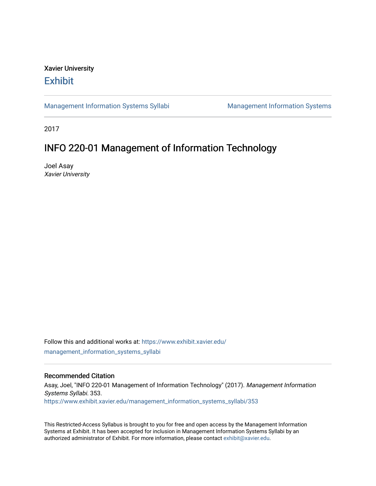# Xavier University **Exhibit**

[Management Information Systems Syllabi](https://www.exhibit.xavier.edu/management_information_systems_syllabi) Management Information Systems

2017

# INFO 220-01 Management of Information Technology

Joel Asay Xavier University

Follow this and additional works at: [https://www.exhibit.xavier.edu/](https://www.exhibit.xavier.edu/management_information_systems_syllabi?utm_source=www.exhibit.xavier.edu%2Fmanagement_information_systems_syllabi%2F353&utm_medium=PDF&utm_campaign=PDFCoverPages) [management\\_information\\_systems\\_syllabi](https://www.exhibit.xavier.edu/management_information_systems_syllabi?utm_source=www.exhibit.xavier.edu%2Fmanagement_information_systems_syllabi%2F353&utm_medium=PDF&utm_campaign=PDFCoverPages) 

#### Recommended Citation

Asay, Joel, "INFO 220-01 Management of Information Technology" (2017). Management Information Systems Syllabi. 353. [https://www.exhibit.xavier.edu/management\\_information\\_systems\\_syllabi/353](https://www.exhibit.xavier.edu/management_information_systems_syllabi/353?utm_source=www.exhibit.xavier.edu%2Fmanagement_information_systems_syllabi%2F353&utm_medium=PDF&utm_campaign=PDFCoverPages) 

This Restricted-Access Syllabus is brought to you for free and open access by the Management Information Systems at Exhibit. It has been accepted for inclusion in Management Information Systems Syllabi by an authorized administrator of Exhibit. For more information, please contact [exhibit@xavier.edu](mailto:exhibit@xavier.edu).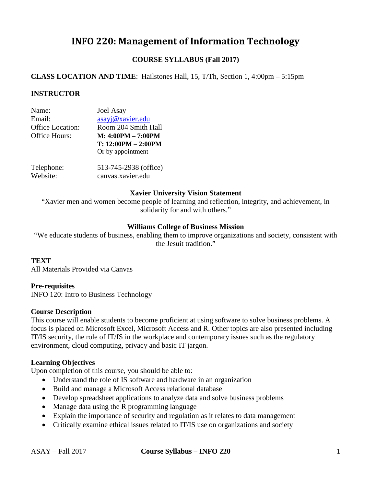# **INFO 220: Management of Information Technology**

# **COURSE SYLLABUS (Fall 2017)**

# **CLASS LOCATION AND TIME**: Hailstones Hall, 15, T/Th, Section 1, 4:00pm – 5:15pm

#### **INSTRUCTOR**

| Name:                   | <b>Joel Asay</b>      |
|-------------------------|-----------------------|
| Email:                  | asayj@xavier.edu      |
| <b>Office Location:</b> | Room 204 Smith Hall   |
| Office Hours:           | $M: 4:00PM - 7:00PM$  |
|                         | $T: 12:00PM - 2:00PM$ |
|                         | Or by appointment     |
| Telephone:              | 513-745-2938 (office) |
| Website:                | canvas.xavier.edu     |

#### **Xavier University Vision Statement**

"Xavier men and women become people of learning and reflection, integrity, and achievement, in solidarity for and with others."

#### **Williams College of Business Mission**

"We educate students of business, enabling them to improve organizations and society, consistent with the Jesuit tradition."

#### **TEXT**

All Materials Provided via Canvas

#### **Pre-requisites**

INFO 120: Intro to Business Technology

#### **Course Description**

This course will enable students to become proficient at using software to solve business problems. A focus is placed on Microsoft Excel, Microsoft Access and R. Other topics are also presented including IT/IS security, the role of IT/IS in the workplace and contemporary issues such as the regulatory environment, cloud computing, privacy and basic IT jargon.

## **Learning Objectives**

Upon completion of this course, you should be able to:

- Understand the role of IS software and hardware in an organization
- Build and manage a Microsoft Access relational database
- Develop spreadsheet applications to analyze data and solve business problems
- Manage data using the R programming language
- Explain the importance of security and regulation as it relates to data management
- Critically examine ethical issues related to IT/IS use on organizations and society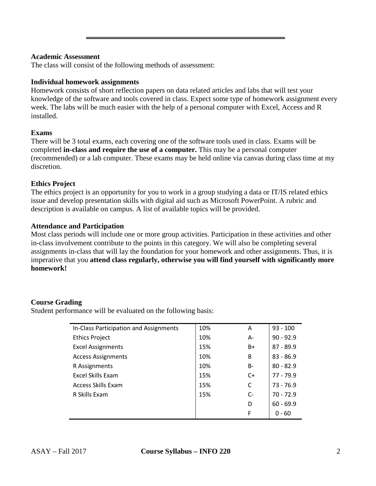#### **Academic Assessment**

The class will consist of the following methods of assessment:

#### **Individual homework assignments**

Homework consists of short reflection papers on data related articles and labs that will test your knowledge of the software and tools covered in class. Expect some type of homework assignment every week. The labs will be much easier with the help of a personal computer with Excel, Access and R installed.

#### **Exams**

There will be 3 total exams, each covering one of the software tools used in class. Exams will be completed **in-class and require the use of a computer.** This may be a personal computer (recommended) or a lab computer. These exams may be held online via canvas during class time at my discretion.

## **Ethics Project**

The ethics project is an opportunity for you to work in a group studying a data or IT/IS related ethics issue and develop presentation skills with digital aid such as Microsoft PowerPoint. A rubric and description is available on campus. A list of available topics will be provided.

## **Attendance and Participation**

Most class periods will include one or more group activities. Participation in these activities and other in-class involvement contribute to the points in this category. We will also be completing several assignments in-class that will lay the foundation for your homework and other assignments. Thus, it is imperative that you **attend class regularly, otherwise you will find yourself with significantly more homework!** 

## **Course Grading**

Student performance will be evaluated on the following basis:

| In-Class Participation and Assignments | 10% | A    | $93 - 100$  |
|----------------------------------------|-----|------|-------------|
| <b>Ethics Project</b>                  | 10% | A-   | $90 - 92.9$ |
| <b>Excel Assignments</b>               | 15% | B+   | $87 - 89.9$ |
| <b>Access Assignments</b>              | 10% | B    | $83 - 86.9$ |
| R Assignments                          | 10% | B-   | $80 - 82.9$ |
| Excel Skills Exam                      | 15% | $C+$ | $77 - 79.9$ |
| <b>Access Skills Exam</b>              | 15% | C    | $73 - 76.9$ |
| R Skills Exam                          | 15% | $C-$ | $70 - 72.9$ |
|                                        |     | D    | $60 - 69.9$ |
|                                        |     | F    | $0 - 60$    |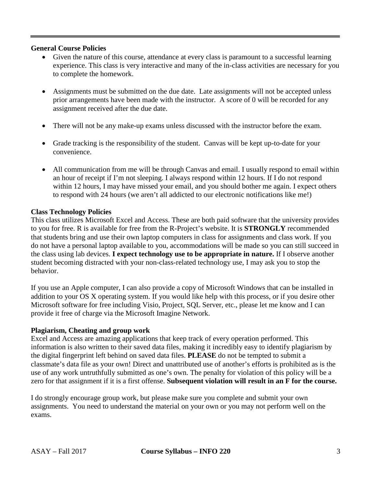## **General Course Policies**

- Given the nature of this course, attendance at every class is paramount to a successful learning experience. This class is very interactive and many of the in-class activities are necessary for you to complete the homework.
- Assignments must be submitted on the due date. Late assignments will not be accepted unless prior arrangements have been made with the instructor. A score of 0 will be recorded for any assignment received after the due date.
- There will not be any make-up exams unless discussed with the instructor before the exam.
- Grade tracking is the responsibility of the student. Canvas will be kept up-to-date for your convenience.
- All communication from me will be through Canvas and email. I usually respond to email within an hour of receipt if I'm not sleeping. I always respond within 12 hours. If I do not respond within 12 hours, I may have missed your email, and you should bother me again. I expect others to respond with 24 hours (we aren't all addicted to our electronic notifications like me!)

# **Class Technology Policies**

This class utilizes Microsoft Excel and Access. These are both paid software that the university provides to you for free. R is available for free from the R-Project's website. It is **STRONGLY** recommended that students bring and use their own laptop computers in class for assignments and class work. If you do not have a personal laptop available to you, accommodations will be made so you can still succeed in the class using lab devices. **I expect technology use to be appropriate in nature.** If I observe another student becoming distracted with your non-class-related technology use, I may ask you to stop the behavior.

If you use an Apple computer, I can also provide a copy of Microsoft Windows that can be installed in addition to your OS X operating system. If you would like help with this process, or if you desire other Microsoft software for free including Visio, Project, SQL Server, etc., please let me know and I can provide it free of charge via the Microsoft Imagine Network.

# **Plagiarism, Cheating and group work**

Excel and Access are amazing applications that keep track of every operation performed. This information is also written to their saved data files, making it incredibly easy to identify plagiarism by the digital fingerprint left behind on saved data files. **PLEASE** do not be tempted to submit a classmate's data file as your own! Direct and unattributed use of another's efforts is prohibited as is the use of any work untruthfully submitted as one's own. The penalty for violation of this policy will be a zero for that assignment if it is a first offense. **Subsequent violation will result in an F for the course.**

I do strongly encourage group work, but please make sure you complete and submit your own assignments. You need to understand the material on your own or you may not perform well on the exams.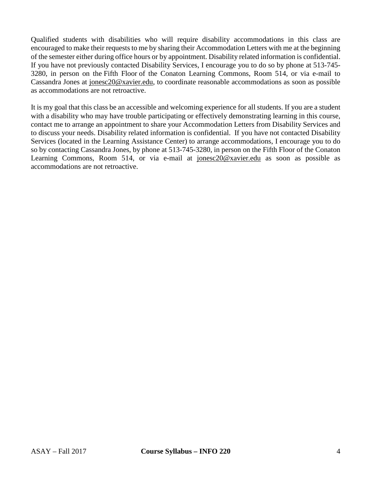Qualified students with disabilities who will require disability accommodations in this class are encouraged to make their requests to me by sharing their Accommodation Letters with me at the beginning of the semester either during office hours or by appointment. Disability related information is confidential. If you have not previously contacted Disability Services, I encourage you to do so by phone at 513-745- 3280, in person on the Fifth Floor of the Conaton Learning Commons, Room 514, or via e-mail to Cassandra Jones at [jonesc20@xavier.edu,](mailto:jonesc20@xavier.edu) to coordinate reasonable accommodations as soon as possible as accommodations are not retroactive.

It is my goal that this class be an accessible and welcoming experience for all students. If you are a student with a disability who may have trouble participating or effectively demonstrating learning in this course, contact me to arrange an appointment to share your Accommodation Letters from Disability Services and to discuss your needs. Disability related information is confidential. If you have not contacted Disability Services (located in the Learning Assistance Center) to arrange accommodations, I encourage you to do so by contacting Cassandra Jones, by phone at 513-745-3280, in person on the Fifth Floor of the Conaton Learning Commons, Room 514, or via e-mail at [jonesc20@xavier.edu](mailto:jonesc20@xavier.edu) as soon as possible as accommodations are not retroactive.